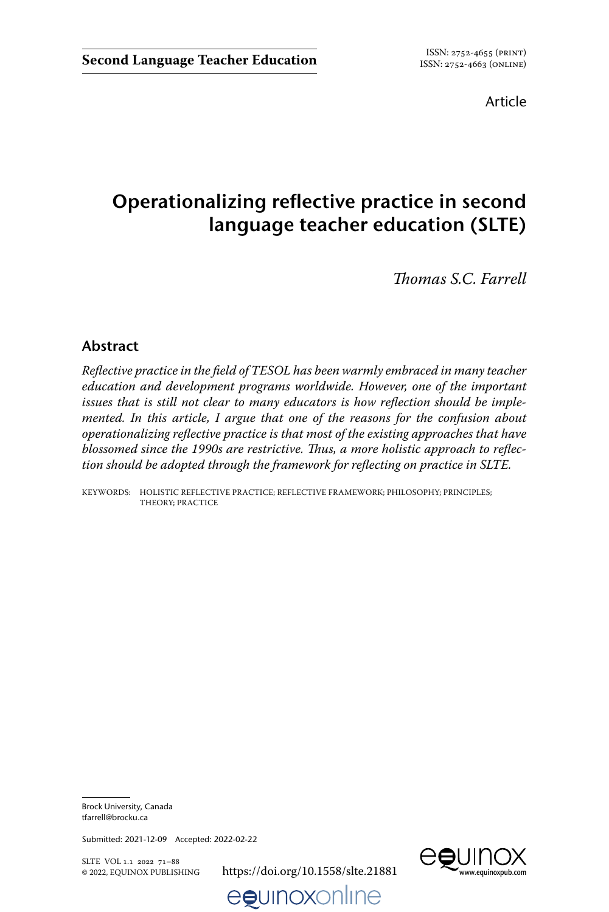Article

## Operationalizing reflective practice in second language teacher education (SLTE)

*Thomas S.C. Farrell*

## Abstract

*Reflective practice in the field of TESOL has been warmly embraced in many teacher education and development programs worldwide. However, one of the important issues that is still not clear to many educators is how reflection should be implemented. In this article, I argue that one of the reasons for the confusion about operationalizing reflective practice is that most of the existing approaches that have blossomed since the 1990s are restrictive. Thus, a more holistic approach to reflection should be adopted through the framework for reflecting on practice in SLTE.*

KEYWORDS: HOLISTIC REFLECTIVE PRACTICE; REFLECTIVE FRAMEWORK; PHILOSOPHY; PRINCIPLES; THEORY; PRACTICE

Brock University, Canada [tfarrell@brocku.ca](mailto:tfarrell@brocku.ca)

Submitted: 2021-12-09 Accepted: 2022-02-22

SLTE VOL 1.1 2022 71–88 © 2022, EQUINOX PUBLISHING

<https://doi.org/10.1558/slte.21881>

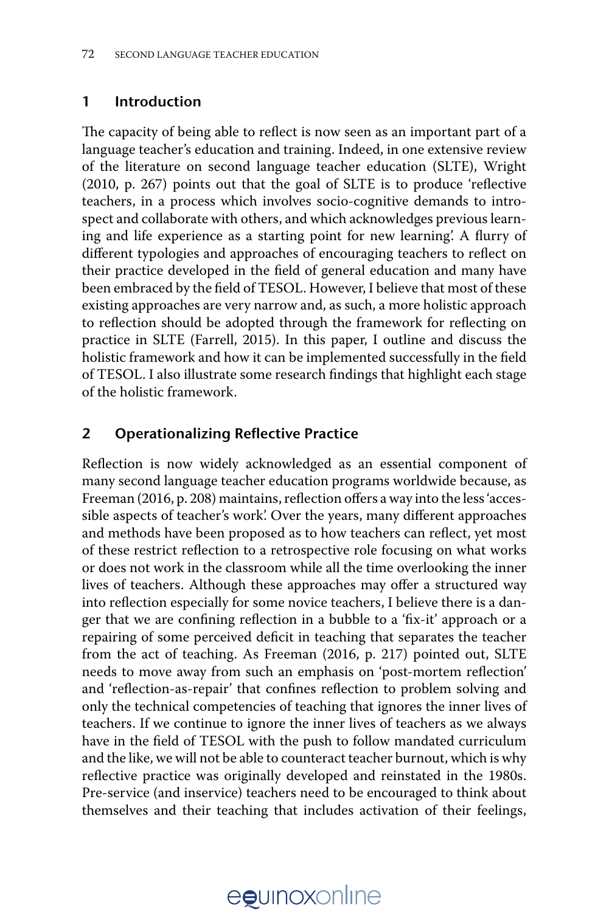### 1 Introduction

The capacity of being able to reflect is now seen as an important part of a language teacher's education and training. Indeed, in one extensive review of the literature on second language teacher education (SLTE), Wright (2010, p. 267) points out that the goal of SLTE is to produce 'reflective teachers, in a process which involves socio-cognitive demands to introspect and collaborate with others, and which acknowledges previous learning and life experience as a starting point for new learning'. A flurry of different typologies and approaches of encouraging teachers to reflect on their practice developed in the field of general education and many have been embraced by the field of TESOL. However, I believe that most of these existing approaches are very narrow and, as such, a more holistic approach to reflection should be adopted through the framework for reflecting on practice in SLTE (Farrell, 2015). In this paper, I outline and discuss the holistic framework and how it can be implemented successfully in the field of TESOL. I also illustrate some research findings that highlight each stage of the holistic framework.

## 2 Operationalizing Reflective Practice

Reflection is now widely acknowledged as an essential component of many second language teacher education programs worldwide because, as Freeman (2016, p. 208) maintains, reflection offers a way into the less 'accessible aspects of teacher's work'. Over the years, many different approaches and methods have been proposed as to how teachers can reflect, yet most of these restrict reflection to a retrospective role focusing on what works or does not work in the classroom while all the time overlooking the inner lives of teachers. Although these approaches may offer a structured way into reflection especially for some novice teachers, I believe there is a danger that we are confining reflection in a bubble to a 'fix-it' approach or a repairing of some perceived deficit in teaching that separates the teacher from the act of teaching. As Freeman (2016, p. 217) pointed out, SLTE needs to move away from such an emphasis on 'post-mortem reflection' and 'reflection-as-repair' that confines reflection to problem solving and only the technical competencies of teaching that ignores the inner lives of teachers. If we continue to ignore the inner lives of teachers as we always have in the field of TESOL with the push to follow mandated curriculum and the like, we will not be able to counteract teacher burnout, which is why reflective practice was originally developed and reinstated in the 1980s. Pre-service (and inservice) teachers need to be encouraged to think about themselves and their teaching that includes activation of their feelings,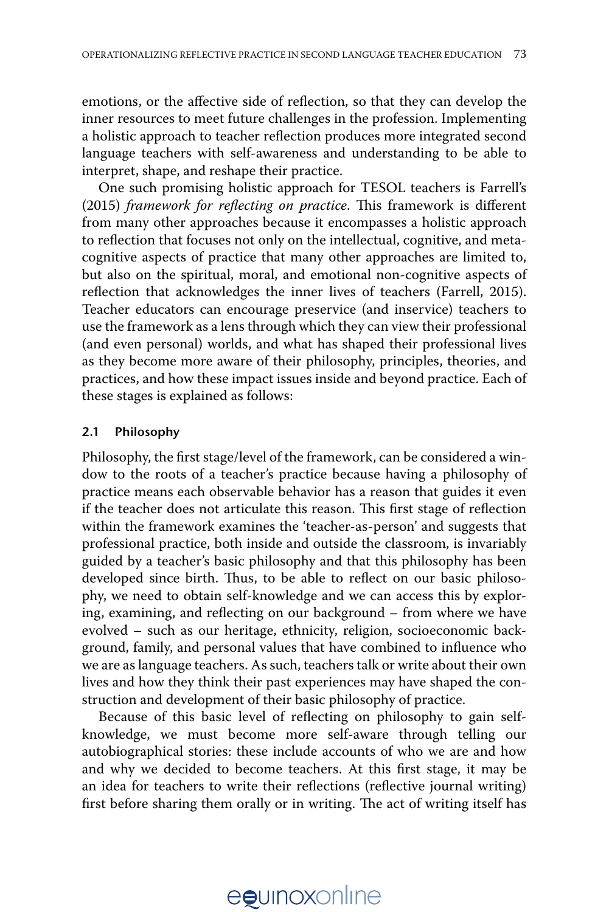emotions, or the affective side of reflection, so that they can develop the inner resources to meet future challenges in the profession. Implementing a holistic approach to teacher reflection produces more integrated second language teachers with self-awareness and understanding to be able to interpret, shape, and reshape their practice.

One such promising holistic approach for TESOL teachers is Farrell's (2015) *framework for reflecting on practice*. This framework is different from many other approaches because it encompasses a holistic approach to reflection that focuses not only on the intellectual, cognitive, and metacognitive aspects of practice that many other approaches are limited to, but also on the spiritual, moral, and emotional non-cognitive aspects of reflection that acknowledges the inner lives of teachers (Farrell, 2015). Teacher educators can encourage preservice (and inservice) teachers to use the framework as a lens through which they can view their professional (and even personal) worlds, and what has shaped their professional lives as they become more aware of their philosophy, principles, theories, and practices, and how these impact issues inside and beyond practice. Each of these stages is explained as follows:

#### 2.1 Philosophy

Philosophy, the first stage/level of the framework, can be considered a window to the roots of a teacher's practice because having a philosophy of practice means each observable behavior has a reason that guides it even if the teacher does not articulate this reason. This first stage of reflection within the framework examines the 'teacher-as-person' and suggests that professional practice, both inside and outside the classroom, is invariably guided by a teacher's basic philosophy and that this philosophy has been developed since birth. Thus, to be able to reflect on our basic philosophy, we need to obtain self-knowledge and we can access this by exploring, examining, and reflecting on our background – from where we have evolved – such as our heritage, ethnicity, religion, socioeconomic background, family, and personal values that have combined to influence who we are as language teachers. As such, teachers talk or write about their own lives and how they think their past experiences may have shaped the construction and development of their basic philosophy of practice.

Because of this basic level of reflecting on philosophy to gain selfknowledge, we must become more self-aware through telling our autobiographical stories: these include accounts of who we are and how and why we decided to become teachers. At this first stage, it may be an idea for teachers to write their reflections (reflective journal writing) first before sharing them orally or in writing. The act of writing itself has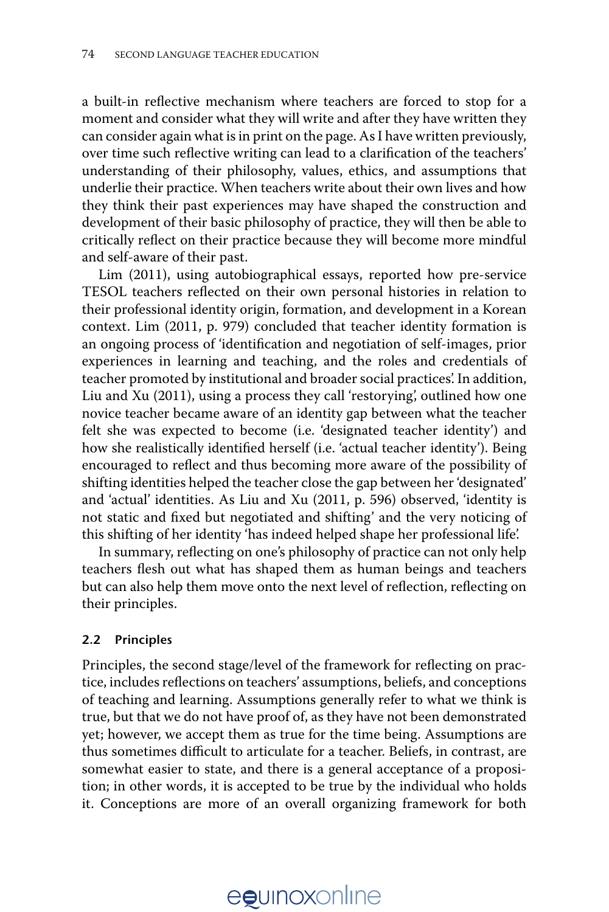a built-in reflective mechanism where teachers are forced to stop for a moment and consider what they will write and after they have written they can consider again what is in print on the page. As I have written previously, over time such reflective writing can lead to a clarification of the teachers' understanding of their philosophy, values, ethics, and assumptions that underlie their practice. When teachers write about their own lives and how they think their past experiences may have shaped the construction and development of their basic philosophy of practice, they will then be able to critically reflect on their practice because they will become more mindful and self-aware of their past.

Lim (2011), using autobiographical essays, reported how pre-service TESOL teachers reflected on their own personal histories in relation to their professional identity origin, formation, and development in a Korean context. Lim (2011, p. 979) concluded that teacher identity formation is an ongoing process of 'identification and negotiation of self-images, prior experiences in learning and teaching, and the roles and credentials of teacher promoted by institutional and broader social practices'. In addition, Liu and Xu (2011), using a process they call 'restorying', outlined how one novice teacher became aware of an identity gap between what the teacher felt she was expected to become (i.e. 'designated teacher identity') and how she realistically identified herself (i.e. 'actual teacher identity'). Being encouraged to reflect and thus becoming more aware of the possibility of shifting identities helped the teacher close the gap between her 'designated' and 'actual' identities. As Liu and Xu (2011, p. 596) observed, 'identity is not static and fixed but negotiated and shifting' and the very noticing of this shifting of her identity 'has indeed helped shape her professional life'.

In summary, reflecting on one's philosophy of practice can not only help teachers flesh out what has shaped them as human beings and teachers but can also help them move onto the next level of reflection, reflecting on their principles.

#### 2.2 Principles

Principles, the second stage/level of the framework for reflecting on practice, includes reflections on teachers' assumptions, beliefs, and conceptions of teaching and learning. Assumptions generally refer to what we think is true, but that we do not have proof of, as they have not been demonstrated yet; however, we accept them as true for the time being. Assumptions are thus sometimes difficult to articulate for a teacher. Beliefs, in contrast, are somewhat easier to state, and there is a general acceptance of a proposition; in other words, it is accepted to be true by the individual who holds it. Conceptions are more of an overall organizing framework for both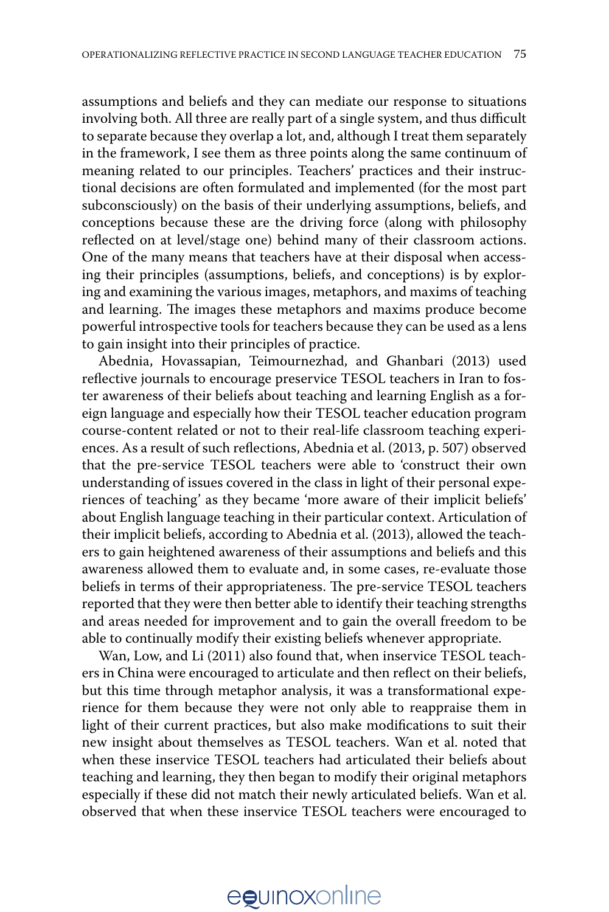assumptions and beliefs and they can mediate our response to situations involving both. All three are really part of a single system, and thus difficult to separate because they overlap a lot, and, although I treat them separately in the framework, I see them as three points along the same continuum of meaning related to our principles. Teachers' practices and their instructional decisions are often formulated and implemented (for the most part subconsciously) on the basis of their underlying assumptions, beliefs, and conceptions because these are the driving force (along with philosophy reflected on at level/stage one) behind many of their classroom actions. One of the many means that teachers have at their disposal when accessing their principles (assumptions, beliefs, and conceptions) is by exploring and examining the various images, metaphors, and maxims of teaching and learning. The images these metaphors and maxims produce become powerful introspective tools for teachers because they can be used as a lens to gain insight into their principles of practice.

Abednia, Hovassapian, Teimournezhad, and Ghanbari (2013) used reflective journals to encourage preservice TESOL teachers in Iran to foster awareness of their beliefs about teaching and learning English as a foreign language and especially how their TESOL teacher education program course-content related or not to their real-life classroom teaching experiences. As a result of such reflections, Abednia et al. (2013, p. 507) observed that the pre-service TESOL teachers were able to 'construct their own understanding of issues covered in the class in light of their personal experiences of teaching' as they became 'more aware of their implicit beliefs' about English language teaching in their particular context. Articulation of their implicit beliefs, according to Abednia et al. (2013), allowed the teachers to gain heightened awareness of their assumptions and beliefs and this awareness allowed them to evaluate and, in some cases, re-evaluate those beliefs in terms of their appropriateness. The pre-service TESOL teachers reported that they were then better able to identify their teaching strengths and areas needed for improvement and to gain the overall freedom to be able to continually modify their existing beliefs whenever appropriate.

Wan, Low, and Li (2011) also found that, when inservice TESOL teachers in China were encouraged to articulate and then reflect on their beliefs, but this time through metaphor analysis, it was a transformational experience for them because they were not only able to reappraise them in light of their current practices, but also make modifications to suit their new insight about themselves as TESOL teachers. Wan et al. noted that when these inservice TESOL teachers had articulated their beliefs about teaching and learning, they then began to modify their original metaphors especially if these did not match their newly articulated beliefs. Wan et al. observed that when these inservice TESOL teachers were encouraged to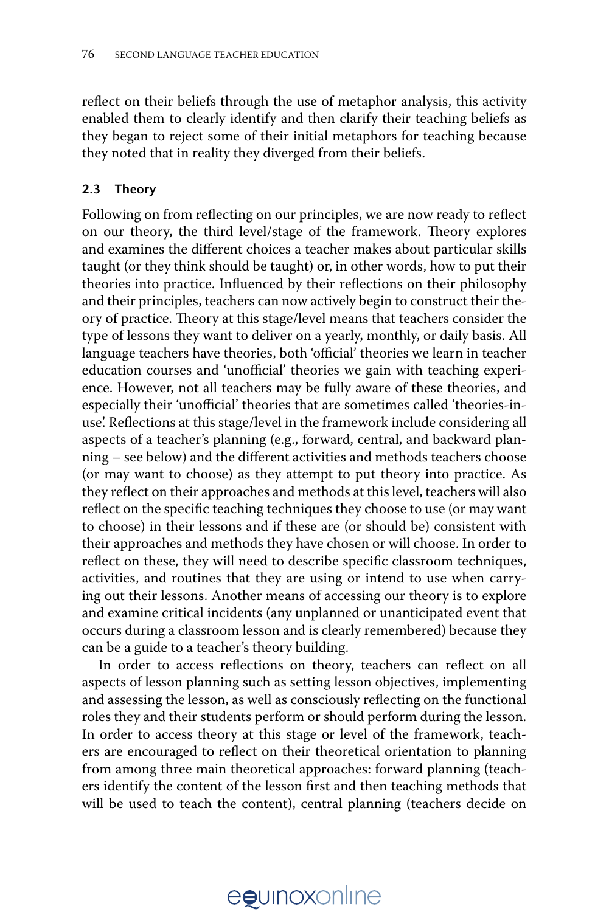reflect on their beliefs through the use of metaphor analysis, this activity enabled them to clearly identify and then clarify their teaching beliefs as they began to reject some of their initial metaphors for teaching because they noted that in reality they diverged from their beliefs.

#### 2.3 Theory

Following on from reflecting on our principles, we are now ready to reflect on our theory, the third level/stage of the framework. Theory explores and examines the different choices a teacher makes about particular skills taught (or they think should be taught) or, in other words, how to put their theories into practice. Influenced by their reflections on their philosophy and their principles, teachers can now actively begin to construct their theory of practice. Theory at this stage/level means that teachers consider the type of lessons they want to deliver on a yearly, monthly, or daily basis. All language teachers have theories, both 'official' theories we learn in teacher education courses and 'unofficial' theories we gain with teaching experience. However, not all teachers may be fully aware of these theories, and especially their 'unofficial' theories that are sometimes called 'theories-inuse'. Reflections at this stage/level in the framework include considering all aspects of a teacher's planning (e.g., forward, central, and backward planning – see below) and the different activities and methods teachers choose (or may want to choose) as they attempt to put theory into practice. As they reflect on their approaches and methods at this level, teachers will also reflect on the specific teaching techniques they choose to use (or may want to choose) in their lessons and if these are (or should be) consistent with their approaches and methods they have chosen or will choose. In order to reflect on these, they will need to describe specific classroom techniques, activities, and routines that they are using or intend to use when carrying out their lessons. Another means of accessing our theory is to explore and examine critical incidents (any unplanned or unanticipated event that occurs during a classroom lesson and is clearly remembered) because they can be a guide to a teacher's theory building.

In order to access reflections on theory, teachers can reflect on all aspects of lesson planning such as setting lesson objectives, implementing and assessing the lesson, as well as consciously reflecting on the functional roles they and their students perform or should perform during the lesson. In order to access theory at this stage or level of the framework, teachers are encouraged to reflect on their theoretical orientation to planning from among three main theoretical approaches: forward planning (teachers identify the content of the lesson first and then teaching methods that will be used to teach the content), central planning (teachers decide on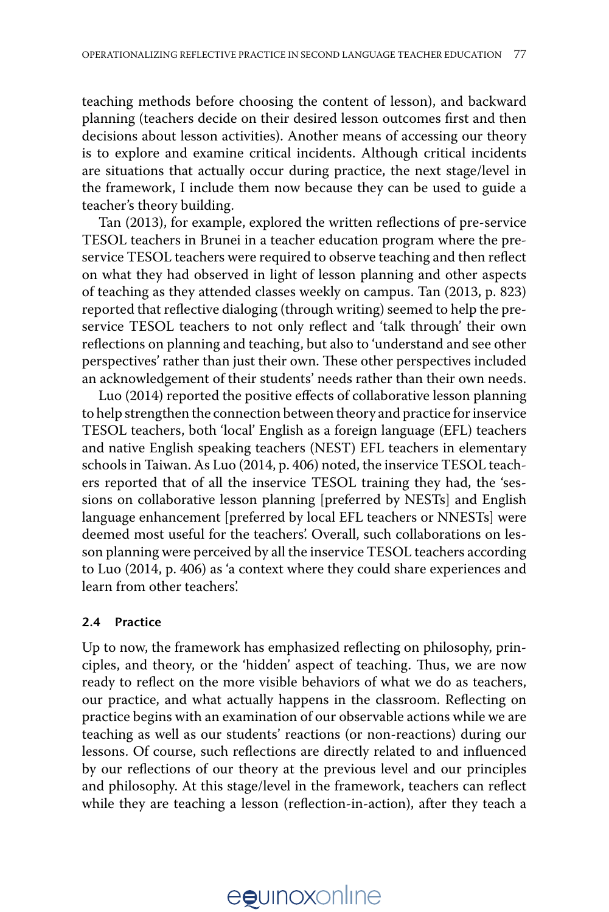teaching methods before choosing the content of lesson), and backward planning (teachers decide on their desired lesson outcomes first and then decisions about lesson activities). Another means of accessing our theory is to explore and examine critical incidents. Although critical incidents are situations that actually occur during practice, the next stage/level in the framework, I include them now because they can be used to guide a teacher's theory building.

Tan (2013), for example, explored the written reflections of pre-service TESOL teachers in Brunei in a teacher education program where the preservice TESOL teachers were required to observe teaching and then reflect on what they had observed in light of lesson planning and other aspects of teaching as they attended classes weekly on campus. Tan (2013, p. 823) reported that reflective dialoging (through writing) seemed to help the preservice TESOL teachers to not only reflect and 'talk through' their own reflections on planning and teaching, but also to 'understand and see other perspectives' rather than just their own. These other perspectives included an acknowledgement of their students' needs rather than their own needs.

Luo (2014) reported the positive effects of collaborative lesson planning to help strengthen the connection between theory and practice for inservice TESOL teachers, both 'local' English as a foreign language (EFL) teachers and native English speaking teachers (NEST) EFL teachers in elementary schools in Taiwan. As Luo (2014, p. 406) noted, the inservice TESOL teachers reported that of all the inservice TESOL training they had, the 'sessions on collaborative lesson planning [preferred by NESTs] and English language enhancement [preferred by local EFL teachers or NNESTs] were deemed most useful for the teachers'. Overall, such collaborations on lesson planning were perceived by all the inservice TESOL teachers according to Luo (2014, p. 406) as 'a context where they could share experiences and learn from other teachers'.

#### 2.4 Practice

Up to now, the framework has emphasized reflecting on philosophy, principles, and theory, or the 'hidden' aspect of teaching. Thus, we are now ready to reflect on the more visible behaviors of what we do as teachers, our practice, and what actually happens in the classroom. Reflecting on practice begins with an examination of our observable actions while we are teaching as well as our students' reactions (or non-reactions) during our lessons. Of course, such reflections are directly related to and influenced by our reflections of our theory at the previous level and our principles and philosophy. At this stage/level in the framework, teachers can reflect while they are teaching a lesson (reflection-in-action), after they teach a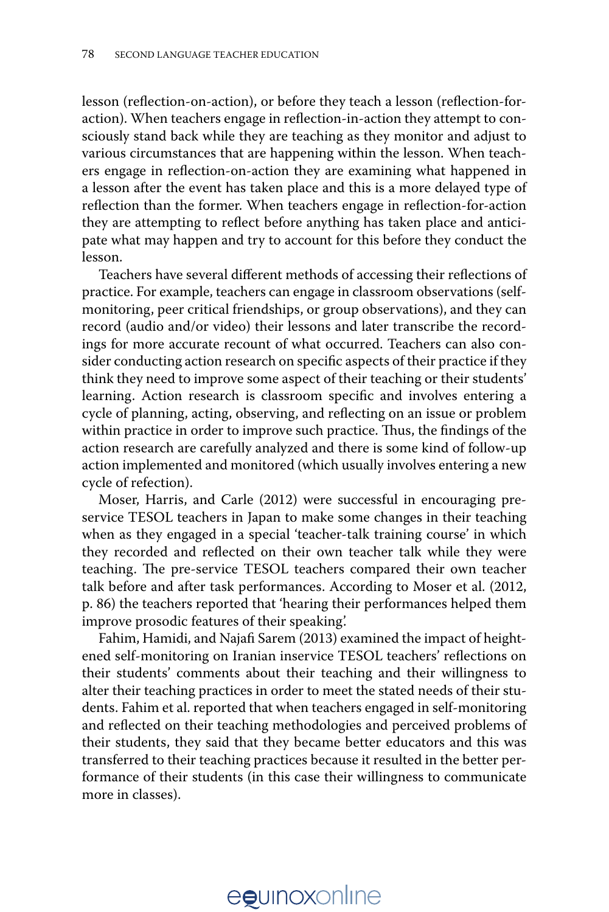lesson (reflection-on-action), or before they teach a lesson (reflection-foraction). When teachers engage in reflection-in-action they attempt to consciously stand back while they are teaching as they monitor and adjust to various circumstances that are happening within the lesson. When teachers engage in reflection-on-action they are examining what happened in a lesson after the event has taken place and this is a more delayed type of reflection than the former. When teachers engage in reflection-for-action they are attempting to reflect before anything has taken place and anticipate what may happen and try to account for this before they conduct the lesson.

Teachers have several different methods of accessing their reflections of practice. For example, teachers can engage in classroom observations (selfmonitoring, peer critical friendships, or group observations), and they can record (audio and/or video) their lessons and later transcribe the recordings for more accurate recount of what occurred. Teachers can also consider conducting action research on specific aspects of their practice if they think they need to improve some aspect of their teaching or their students' learning. Action research is classroom specific and involves entering a cycle of planning, acting, observing, and reflecting on an issue or problem within practice in order to improve such practice. Thus, the findings of the action research are carefully analyzed and there is some kind of follow-up action implemented and monitored (which usually involves entering a new cycle of refection).

Moser, Harris, and Carle (2012) were successful in encouraging preservice TESOL teachers in Japan to make some changes in their teaching when as they engaged in a special 'teacher-talk training course' in which they recorded and reflected on their own teacher talk while they were teaching. The pre-service TESOL teachers compared their own teacher talk before and after task performances. According to Moser et al. (2012, p. 86) the teachers reported that 'hearing their performances helped them improve prosodic features of their speaking'.

Fahim, Hamidi, and Najafi Sarem (2013) examined the impact of heightened self-monitoring on Iranian inservice TESOL teachers' reflections on their students' comments about their teaching and their willingness to alter their teaching practices in order to meet the stated needs of their students. Fahim et al. reported that when teachers engaged in self-monitoring and reflected on their teaching methodologies and perceived problems of their students, they said that they became better educators and this was transferred to their teaching practices because it resulted in the better performance of their students (in this case their willingness to communicate more in classes).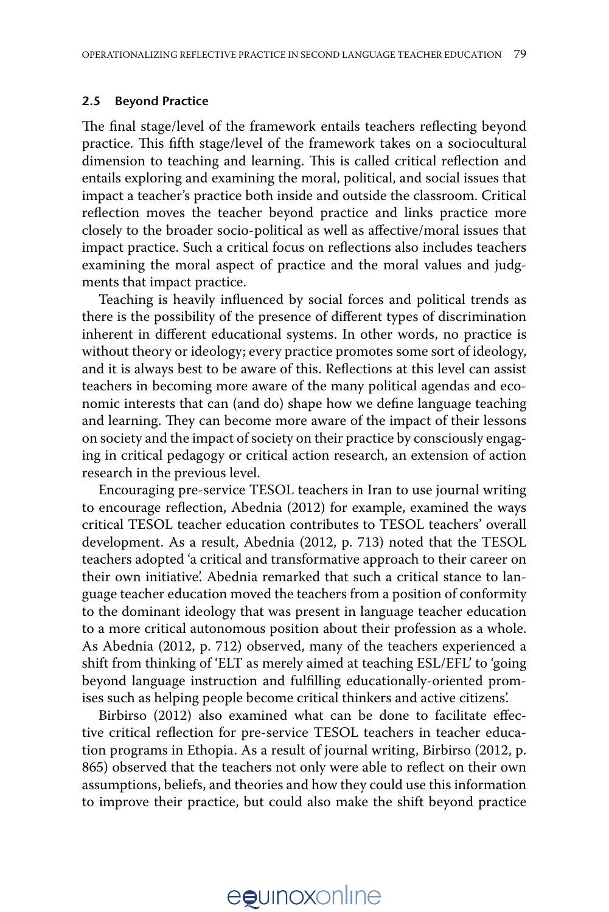#### 2.5 Beyond Practice

The final stage/level of the framework entails teachers reflecting beyond practice. This fifth stage/level of the framework takes on a sociocultural dimension to teaching and learning. This is called critical reflection and entails exploring and examining the moral, political, and social issues that impact a teacher's practice both inside and outside the classroom. Critical reflection moves the teacher beyond practice and links practice more closely to the broader socio-political as well as affective/moral issues that impact practice. Such a critical focus on reflections also includes teachers examining the moral aspect of practice and the moral values and judgments that impact practice.

Teaching is heavily influenced by social forces and political trends as there is the possibility of the presence of different types of discrimination inherent in different educational systems. In other words, no practice is without theory or ideology; every practice promotes some sort of ideology, and it is always best to be aware of this. Reflections at this level can assist teachers in becoming more aware of the many political agendas and economic interests that can (and do) shape how we define language teaching and learning. They can become more aware of the impact of their lessons on society and the impact of society on their practice by consciously engaging in critical pedagogy or critical action research, an extension of action research in the previous level.

Encouraging pre-service TESOL teachers in Iran to use journal writing to encourage reflection, Abednia (2012) for example, examined the ways critical TESOL teacher education contributes to TESOL teachers' overall development. As a result, Abednia (2012, p. 713) noted that the TESOL teachers adopted 'a critical and transformative approach to their career on their own initiative'. Abednia remarked that such a critical stance to language teacher education moved the teachers from a position of conformity to the dominant ideology that was present in language teacher education to a more critical autonomous position about their profession as a whole. As Abednia (2012, p. 712) observed, many of the teachers experienced a shift from thinking of 'ELT as merely aimed at teaching ESL/EFL' to 'going beyond language instruction and fulfilling educationally-oriented promises such as helping people become critical thinkers and active citizens'.

Birbirso (2012) also examined what can be done to facilitate effective critical reflection for pre-service TESOL teachers in teacher education programs in Ethopia. As a result of journal writing, Birbirso (2012, p. 865) observed that the teachers not only were able to reflect on their own assumptions, beliefs, and theories and how they could use this information to improve their practice, but could also make the shift beyond practice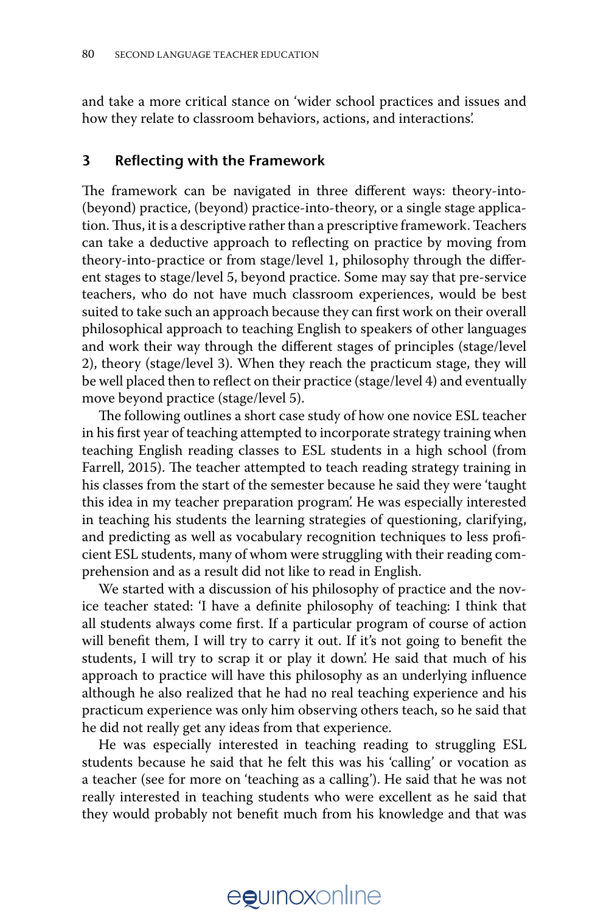and take a more critical stance on 'wider school practices and issues and how they relate to classroom behaviors, actions, and interactions'.

#### 3 Reflecting with the Framework

The framework can be navigated in three different ways: theory-into- (beyond) practice, (beyond) practice-into-theory, or a single stage application. Thus, it is a descriptive rather than a prescriptive framework. Teachers can take a deductive approach to reflecting on practice by moving from theory-into-practice or from stage/level 1, philosophy through the different stages to stage/level 5, beyond practice. Some may say that pre-service teachers, who do not have much classroom experiences, would be best suited to take such an approach because they can first work on their overall philosophical approach to teaching English to speakers of other languages and work their way through the different stages of principles (stage/level 2), theory (stage/level 3). When they reach the practicum stage, they will be well placed then to reflect on their practice (stage/level 4) and eventually move beyond practice (stage/level 5).

The following outlines a short case study of how one novice ESL teacher in his first year of teaching attempted to incorporate strategy training when teaching English reading classes to ESL students in a high school (from Farrell, 2015). The teacher attempted to teach reading strategy training in his classes from the start of the semester because he said they were 'taught this idea in my teacher preparation program'. He was especially interested in teaching his students the learning strategies of questioning, clarifying, and predicting as well as vocabulary recognition techniques to less proficient ESL students, many of whom were struggling with their reading comprehension and as a result did not like to read in English.

We started with a discussion of his philosophy of practice and the novice teacher stated: 'I have a definite philosophy of teaching: I think that all students always come first. If a particular program of course of action will benefit them, I will try to carry it out. If it's not going to benefit the students, I will try to scrap it or play it down'. He said that much of his approach to practice will have this philosophy as an underlying influence although he also realized that he had no real teaching experience and his practicum experience was only him observing others teach, so he said that he did not really get any ideas from that experience.

He was especially interested in teaching reading to struggling ESL students because he said that he felt this was his 'calling' or vocation as a teacher (see for more on 'teaching as a calling'). He said that he was not really interested in teaching students who were excellent as he said that they would probably not benefit much from his knowledge and that was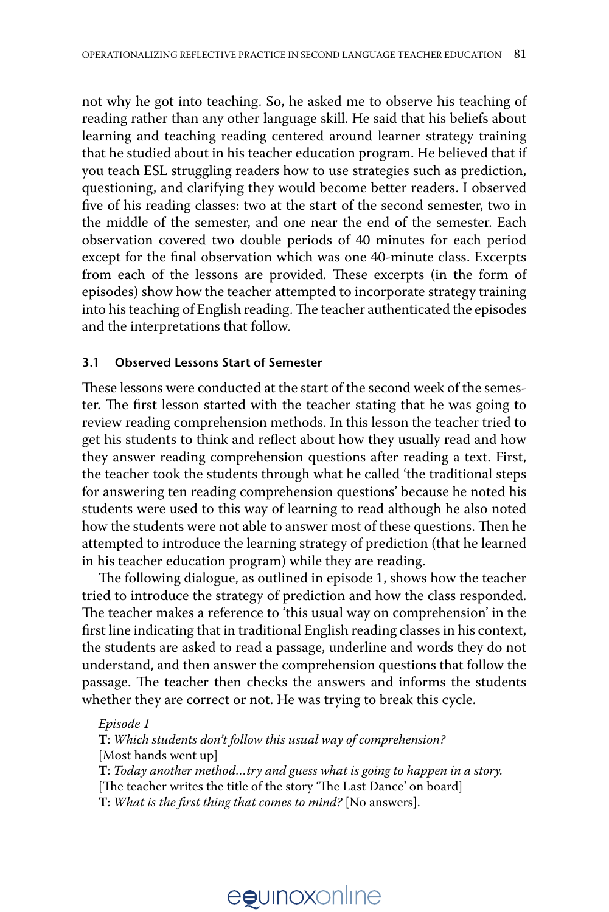not why he got into teaching. So, he asked me to observe his teaching of reading rather than any other language skill. He said that his beliefs about learning and teaching reading centered around learner strategy training that he studied about in his teacher education program. He believed that if you teach ESL struggling readers how to use strategies such as prediction, questioning, and clarifying they would become better readers. I observed five of his reading classes: two at the start of the second semester, two in the middle of the semester, and one near the end of the semester. Each observation covered two double periods of 40 minutes for each period except for the final observation which was one 40-minute class. Excerpts from each of the lessons are provided. These excerpts (in the form of episodes) show how the teacher attempted to incorporate strategy training into his teaching of English reading. The teacher authenticated the episodes and the interpretations that follow.

#### 3.1 Observed Lessons Start of Semester

These lessons were conducted at the start of the second week of the semester. The first lesson started with the teacher stating that he was going to review reading comprehension methods. In this lesson the teacher tried to get his students to think and reflect about how they usually read and how they answer reading comprehension questions after reading a text. First, the teacher took the students through what he called 'the traditional steps for answering ten reading comprehension questions' because he noted his students were used to this way of learning to read although he also noted how the students were not able to answer most of these questions. Then he attempted to introduce the learning strategy of prediction (that he learned in his teacher education program) while they are reading.

The following dialogue, as outlined in episode 1, shows how the teacher tried to introduce the strategy of prediction and how the class responded. The teacher makes a reference to 'this usual way on comprehension' in the first line indicating that in traditional English reading classes in his context, the students are asked to read a passage, underline and words they do not understand, and then answer the comprehension questions that follow the passage. The teacher then checks the answers and informs the students whether they are correct or not. He was trying to break this cycle.

#### *Episode 1*

**T**: *Which students don't follow this usual way of comprehension?* [Most hands went up] **T**: *Today another method…try and guess what is going to happen in a story.* [The teacher writes the title of the story 'The Last Dance' on board] **T**: *What is the first thing that comes to mind?* [No answers].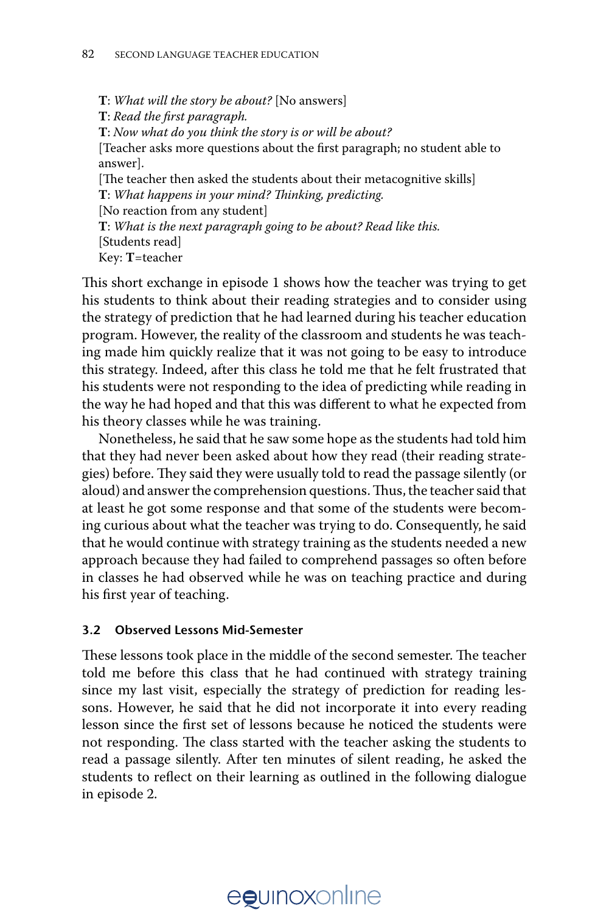**T**: *What will the story be about?* [No answers] **T**: *Read the first paragraph.*  **T**: *Now what do you think the story is or will be about?* [Teacher asks more questions about the first paragraph; no student able to answer]. [The teacher then asked the students about their metacognitive skills] **T**: *What happens in your mind? Thinking, predicting.* [No reaction from any student] **T**: *What is the next paragraph going to be about? Read like this.* [Students read] Key: **T**=teacher

This short exchange in episode 1 shows how the teacher was trying to get his students to think about their reading strategies and to consider using the strategy of prediction that he had learned during his teacher education program. However, the reality of the classroom and students he was teaching made him quickly realize that it was not going to be easy to introduce this strategy. Indeed, after this class he told me that he felt frustrated that his students were not responding to the idea of predicting while reading in the way he had hoped and that this was different to what he expected from his theory classes while he was training.

Nonetheless, he said that he saw some hope as the students had told him that they had never been asked about how they read (their reading strategies) before. They said they were usually told to read the passage silently (or aloud) and answer the comprehension questions. Thus, the teacher said that at least he got some response and that some of the students were becoming curious about what the teacher was trying to do. Consequently, he said that he would continue with strategy training as the students needed a new approach because they had failed to comprehend passages so often before in classes he had observed while he was on teaching practice and during his first year of teaching.

#### 3.2 Observed Lessons Mid-Semester

These lessons took place in the middle of the second semester. The teacher told me before this class that he had continued with strategy training since my last visit, especially the strategy of prediction for reading lessons. However, he said that he did not incorporate it into every reading lesson since the first set of lessons because he noticed the students were not responding. The class started with the teacher asking the students to read a passage silently. After ten minutes of silent reading, he asked the students to reflect on their learning as outlined in the following dialogue in episode 2.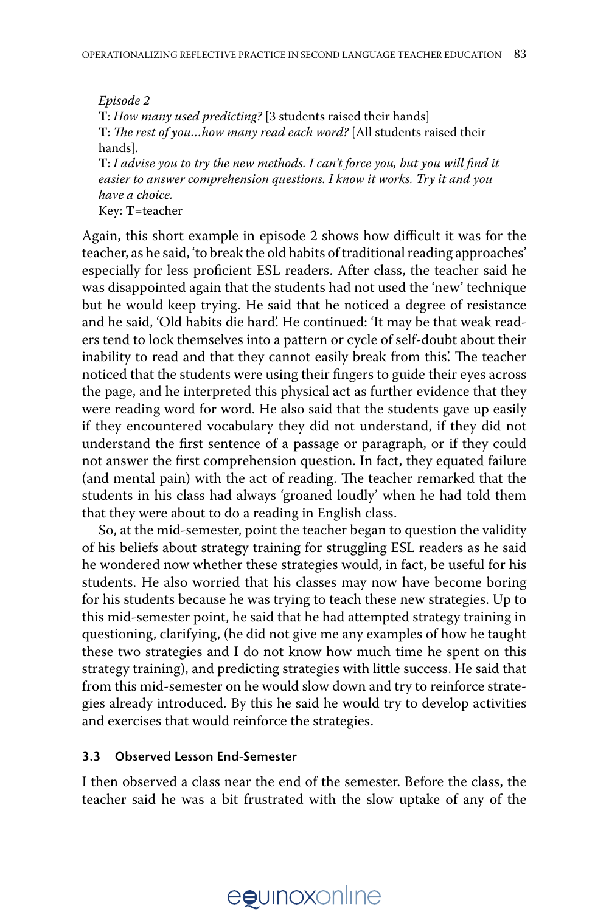*Episode 2* **T**: *How many used predicting?* [3 students raised their hands] **T**: *The rest of you…how many read each word?* [All students raised their hands]. **T**: *I advise you to try the new methods. I can't force you, but you will find it easier to answer comprehension questions. I know it works. Try it and you have a choice.* Key: **T**=teacher

Again, this short example in episode 2 shows how difficult it was for the teacher, as he said, 'to break the old habits of traditional reading approaches' especially for less proficient ESL readers. After class, the teacher said he was disappointed again that the students had not used the 'new' technique but he would keep trying. He said that he noticed a degree of resistance and he said, 'Old habits die hard'. He continued: 'It may be that weak readers tend to lock themselves into a pattern or cycle of self-doubt about their inability to read and that they cannot easily break from this'. The teacher noticed that the students were using their fingers to guide their eyes across the page, and he interpreted this physical act as further evidence that they were reading word for word. He also said that the students gave up easily if they encountered vocabulary they did not understand, if they did not understand the first sentence of a passage or paragraph, or if they could not answer the first comprehension question. In fact, they equated failure (and mental pain) with the act of reading. The teacher remarked that the students in his class had always 'groaned loudly' when he had told them that they were about to do a reading in English class.

So, at the mid-semester, point the teacher began to question the validity of his beliefs about strategy training for struggling ESL readers as he said he wondered now whether these strategies would, in fact, be useful for his students. He also worried that his classes may now have become boring for his students because he was trying to teach these new strategies. Up to this mid-semester point, he said that he had attempted strategy training in questioning, clarifying, (he did not give me any examples of how he taught these two strategies and I do not know how much time he spent on this strategy training), and predicting strategies with little success. He said that from this mid-semester on he would slow down and try to reinforce strategies already introduced. By this he said he would try to develop activities and exercises that would reinforce the strategies.

#### 3.3 Observed Lesson End-Semester

I then observed a class near the end of the semester. Before the class, the teacher said he was a bit frustrated with the slow uptake of any of the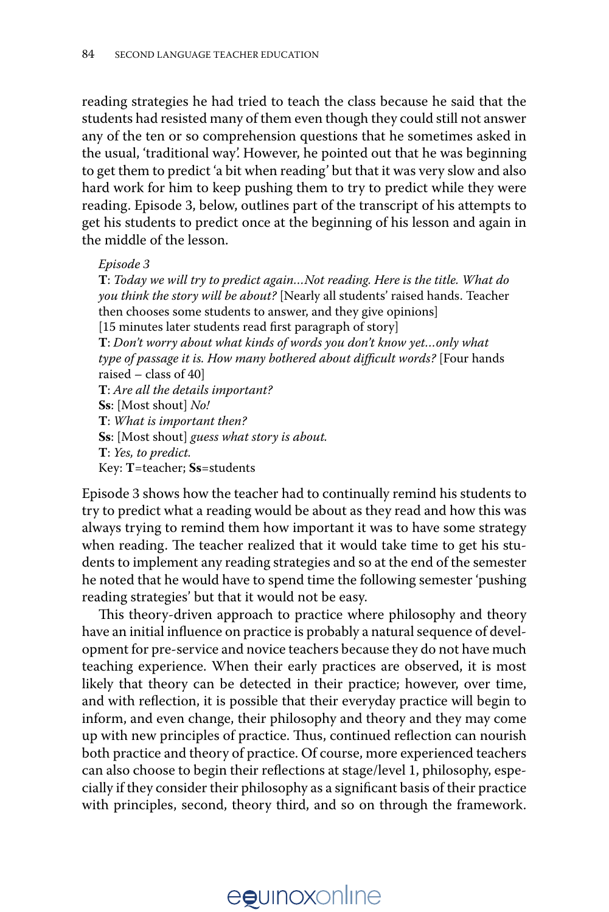reading strategies he had tried to teach the class because he said that the students had resisted many of them even though they could still not answer any of the ten or so comprehension questions that he sometimes asked in the usual, 'traditional way'. However, he pointed out that he was beginning to get them to predict 'a bit when reading' but that it was very slow and also hard work for him to keep pushing them to try to predict while they were reading. Episode 3, below, outlines part of the transcript of his attempts to get his students to predict once at the beginning of his lesson and again in the middle of the lesson.

#### *Episode 3*

**T**: *Today we will try to predict again…Not reading. Here is the title. What do you think the story will be about?* [Nearly all students' raised hands. Teacher then chooses some students to answer, and they give opinions] [15 minutes later students read first paragraph of story] **T**: *Don't worry about what kinds of words you don't know yet…only what type of passage it is. How many bothered about difficult words?* [Four hands raised – class of 40] **T**: *Are all the details important?* **Ss**: [Most shout] *No!* **T**: *What is important then?* **Ss**: [Most shout] *guess what story is about.* **T**: *Yes, to predict.* Key: **T**=teacher; **Ss**=students

Episode 3 shows how the teacher had to continually remind his students to try to predict what a reading would be about as they read and how this was always trying to remind them how important it was to have some strategy when reading. The teacher realized that it would take time to get his students to implement any reading strategies and so at the end of the semester he noted that he would have to spend time the following semester 'pushing reading strategies' but that it would not be easy.

This theory-driven approach to practice where philosophy and theory have an initial influence on practice is probably a natural sequence of development for pre-service and novice teachers because they do not have much teaching experience. When their early practices are observed, it is most likely that theory can be detected in their practice; however, over time, and with reflection, it is possible that their everyday practice will begin to inform, and even change, their philosophy and theory and they may come up with new principles of practice. Thus, continued reflection can nourish both practice and theory of practice. Of course, more experienced teachers can also choose to begin their reflections at stage/level 1, philosophy, especially if they consider their philosophy as a significant basis of their practice with principles, second, theory third, and so on through the framework.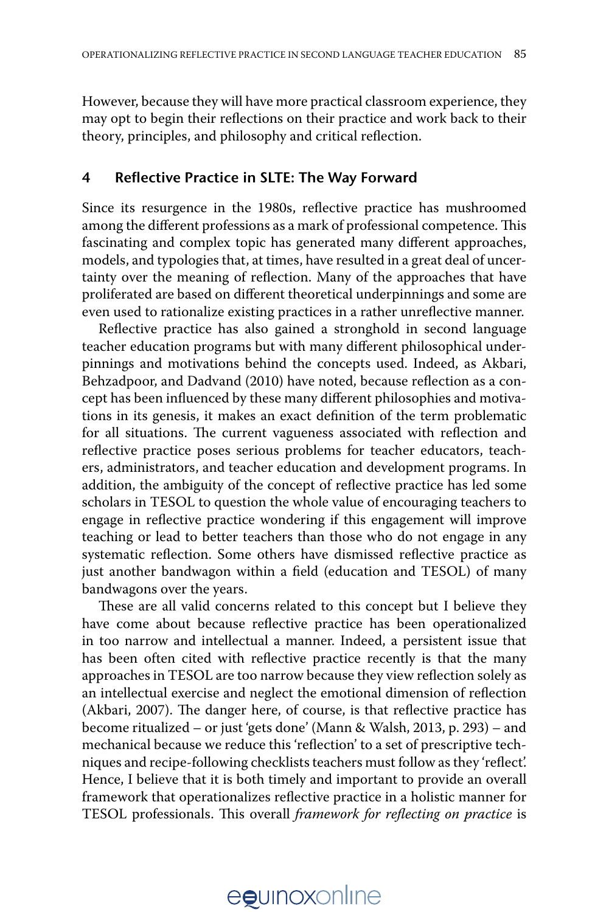However, because they will have more practical classroom experience, they may opt to begin their reflections on their practice and work back to their theory, principles, and philosophy and critical reflection.

### 4 Reflective Practice in SLTE: The Way Forward

Since its resurgence in the 1980s, reflective practice has mushroomed among the different professions as a mark of professional competence. This fascinating and complex topic has generated many different approaches, models, and typologies that, at times, have resulted in a great deal of uncertainty over the meaning of reflection. Many of the approaches that have proliferated are based on different theoretical underpinnings and some are even used to rationalize existing practices in a rather unreflective manner.

Reflective practice has also gained a stronghold in second language teacher education programs but with many different philosophical underpinnings and motivations behind the concepts used. Indeed, as Akbari, Behzadpoor, and Dadvand (2010) have noted, because reflection as a concept has been influenced by these many different philosophies and motivations in its genesis, it makes an exact definition of the term problematic for all situations. The current vagueness associated with reflection and reflective practice poses serious problems for teacher educators, teachers, administrators, and teacher education and development programs. In addition, the ambiguity of the concept of reflective practice has led some scholars in TESOL to question the whole value of encouraging teachers to engage in reflective practice wondering if this engagement will improve teaching or lead to better teachers than those who do not engage in any systematic reflection. Some others have dismissed reflective practice as just another bandwagon within a field (education and TESOL) of many bandwagons over the years.

These are all valid concerns related to this concept but I believe they have come about because reflective practice has been operationalized in too narrow and intellectual a manner. Indeed, a persistent issue that has been often cited with reflective practice recently is that the many approaches in TESOL are too narrow because they view reflection solely as an intellectual exercise and neglect the emotional dimension of reflection (Akbari, 2007). The danger here, of course, is that reflective practice has become ritualized – or just 'gets done' (Mann & Walsh, 2013, p. 293) – and mechanical because we reduce this 'reflection' to a set of prescriptive techniques and recipe-following checklists teachers must follow as they 'reflect'. Hence, I believe that it is both timely and important to provide an overall framework that operationalizes reflective practice in a holistic manner for TESOL professionals. This overall *framework for reflecting on practice* is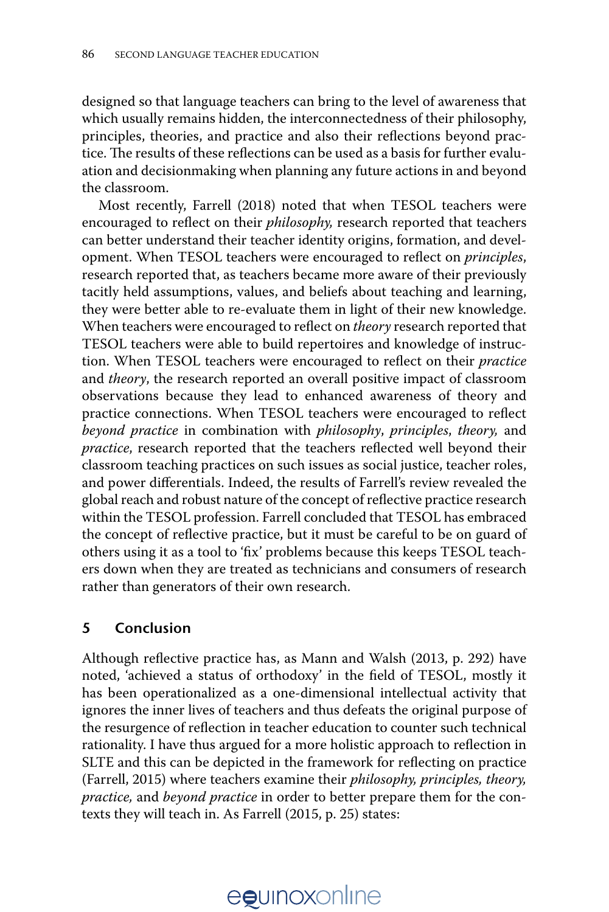designed so that language teachers can bring to the level of awareness that which usually remains hidden, the interconnectedness of their philosophy, principles, theories, and practice and also their reflections beyond practice. The results of these reflections can be used as a basis for further evaluation and decisionmaking when planning any future actions in and beyond the classroom.

Most recently, Farrell (2018) noted that when TESOL teachers were encouraged to reflect on their *philosophy,* research reported that teachers can better understand their teacher identity origins, formation, and development. When TESOL teachers were encouraged to reflect on *principles*, research reported that, as teachers became more aware of their previously tacitly held assumptions, values, and beliefs about teaching and learning, they were better able to re-evaluate them in light of their new knowledge. When teachers were encouraged to reflect on *theory* research reported that TESOL teachers were able to build repertoires and knowledge of instruction. When TESOL teachers were encouraged to reflect on their *practice*  and *theory*, the research reported an overall positive impact of classroom observations because they lead to enhanced awareness of theory and practice connections. When TESOL teachers were encouraged to reflect *beyond practice* in combination with *philosophy*, *principles*, *theory,* and *practice*, research reported that the teachers reflected well beyond their classroom teaching practices on such issues as social justice, teacher roles, and power differentials. Indeed, the results of Farrell's review revealed the global reach and robust nature of the concept of reflective practice research within the TESOL profession. Farrell concluded that TESOL has embraced the concept of reflective practice, but it must be careful to be on guard of others using it as a tool to 'fix' problems because this keeps TESOL teachers down when they are treated as technicians and consumers of research rather than generators of their own research.

### 5 Conclusion

Although reflective practice has, as Mann and Walsh (2013, p. 292) have noted, 'achieved a status of orthodoxy' in the field of TESOL, mostly it has been operationalized as a one-dimensional intellectual activity that ignores the inner lives of teachers and thus defeats the original purpose of the resurgence of reflection in teacher education to counter such technical rationality. I have thus argued for a more holistic approach to reflection in SLTE and this can be depicted in the framework for reflecting on practice (Farrell, 2015) where teachers examine their *philosophy, principles, theory, practice,* and *beyond practice* in order to better prepare them for the contexts they will teach in. As Farrell (2015, p. 25) states: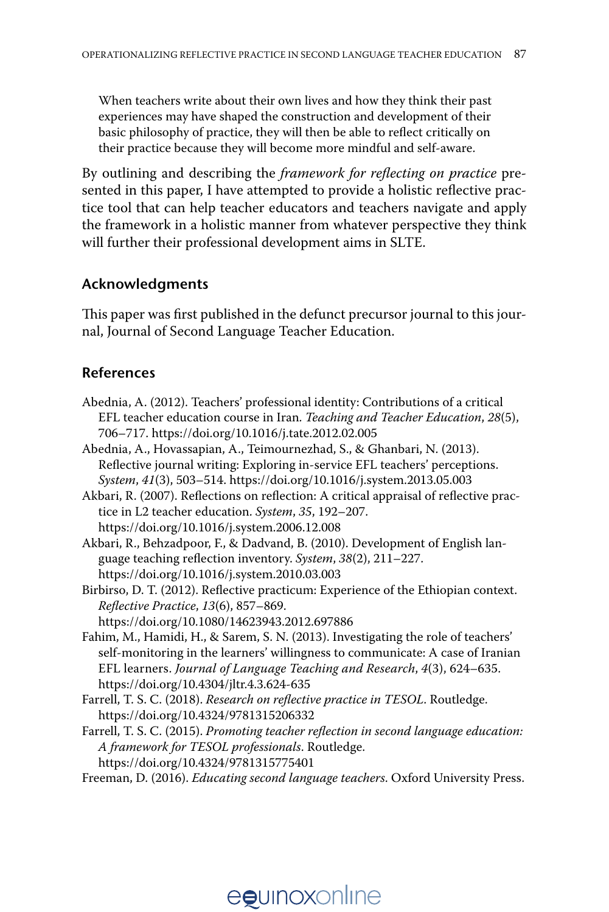When teachers write about their own lives and how they think their past experiences may have shaped the construction and development of their basic philosophy of practice, they will then be able to reflect critically on their practice because they will become more mindful and self-aware.

By outlining and describing the *framework for reflecting on practice* presented in this paper, I have attempted to provide a holistic reflective practice tool that can help teacher educators and teachers navigate and apply the framework in a holistic manner from whatever perspective they think will further their professional development aims in SLTE.

### Acknowledgments

This paper was first published in the defunct precursor journal to this journal, Journal of Second Language Teacher Education.

### References

- Abednia, A. (2012). Teachers' professional identity: Contributions of a critical EFL teacher education course in Iran. *Teaching and Teacher Education*, *28*(5), 706–717.<https://doi.org/10.1016/j.tate.2012.02.005>
- Abednia, A., Hovassapian, A., Teimournezhad, S., & Ghanbari, N. (2013). Reflective journal writing: Exploring in-service EFL teachers' perceptions. *System*, *41*(3), 503–514. <https://doi.org/10.1016/j.system.2013.05.003>
- Akbari, R. (2007). Reflections on reflection: A critical appraisal of reflective practice in L2 teacher education. *System*, *35*, 192–207. <https://doi.org/10.1016/j.system.2006.12.008>
- Akbari, R., Behzadpoor, F., & Dadvand, B. (2010). Development of English language teaching reflection inventory. *System*, *38*(2), 211–227. <https://doi.org/10.1016/j.system.2010.03.003>
- Birbirso, D. T. (2012). Reflective practicum: Experience of the Ethiopian context. *Reflective Practice*, *13*(6), 857–869. <https://doi.org/10.1080/14623943.2012.697886>
- Fahim, M., Hamidi, H., & Sarem, S. N. (2013). Investigating the role of teachers' self-monitoring in the learners' willingness to communicate: A case of Iranian EFL learners. *Journal of Language Teaching and Research*, *4*(3), 624–635. <https://doi.org/10.4304/jltr.4.3.624-635>
- Farrell, T. S. C. (2018). *Research on reflective practice in TESOL*. Routledge. <https://doi.org/10.4324/9781315206332>
- Farrell, T. S. C. (2015). *Promoting teacher reflection in second language education: A framework for TESOL professionals*. Routledge. <https://doi.org/10.4324/9781315775401>
- Freeman, D. (2016). *Educating second language teachers*. Oxford University Press.